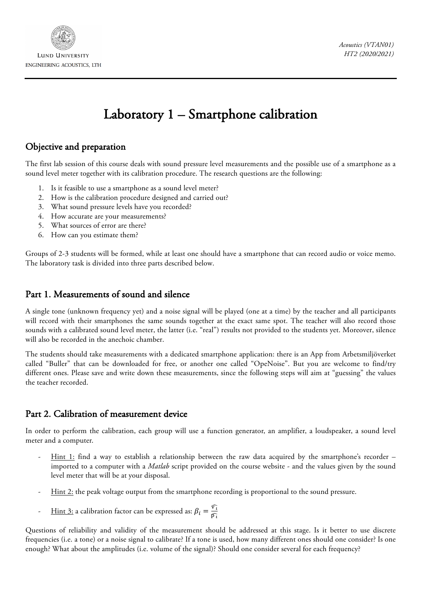

**LUND UNIVERSITY** ENGINEERING ACOUSTICS, LTH

# Laboratory 1 – Smartphone calibration

### Objective and preparation

The first lab session of this course deals with sound pressure level measurements and the possible use of a smartphone as a sound level meter together with its calibration procedure. The research questions are the following:

- 1. Is it feasible to use a smartphone as a sound level meter?
- 2. How is the calibration procedure designed and carried out?
- 3. What sound pressure levels have you recorded?
- 4. How accurate are your measurements?
- 5. What sources of error are there?
- 6. How can you estimate them?

Groups of 2-3 students will be formed, while at least one should have a smartphone that can record audio or voice memo. The laboratory task is divided into three parts described below.

#### Part 1. Measurements of sound and silence

A single tone (unknown frequency yet) and a noise signal will be played (one at a time) by the teacher and all participants will record with their smartphones the same sounds together at the exact same spot. The teacher will also record those sounds with a calibrated sound level meter, the latter (i.e. "real") results not provided to the students yet. Moreover, silence will also be recorded in the anechoic chamber.

The students should take measurements with a dedicated smartphone application: there is an App from Arbetsmiljöverket called "Buller" that can be downloaded for free, or another one called "OpeNoise". But you are welcome to find/try different ones. Please save and write down these measurements, since the following steps will aim at "guessing" the values the teacher recorded.

### Part 2. Calibration of measurement device

In order to perform the calibration, each group will use a function generator, an amplifier, a loudspeaker, a sound level meter and a computer.

- Hint 1: find a way to establish a relationship between the raw data acquired by the smartphone's recorder imported to a computer with a *Matlab* script provided on the course website - and the values given by the sound level meter that will be at your disposal.
- Hint 2: the peak voltage output from the smartphone recording is proportional to the sound pressure.
- <u>Hint 3:</u> a calibration factor can be expressed as:  $\beta_i = \frac{\widehat{v_i}}{\widehat{p_i}}$

Questions of reliability and validity of the measurement should be addressed at this stage. Is it better to use discrete frequencies (i.e. a tone) or a noise signal to calibrate? If a tone is used, how many different ones should one consider? Is one enough? What about the amplitudes (i.e. volume of the signal)? Should one consider several for each frequency?